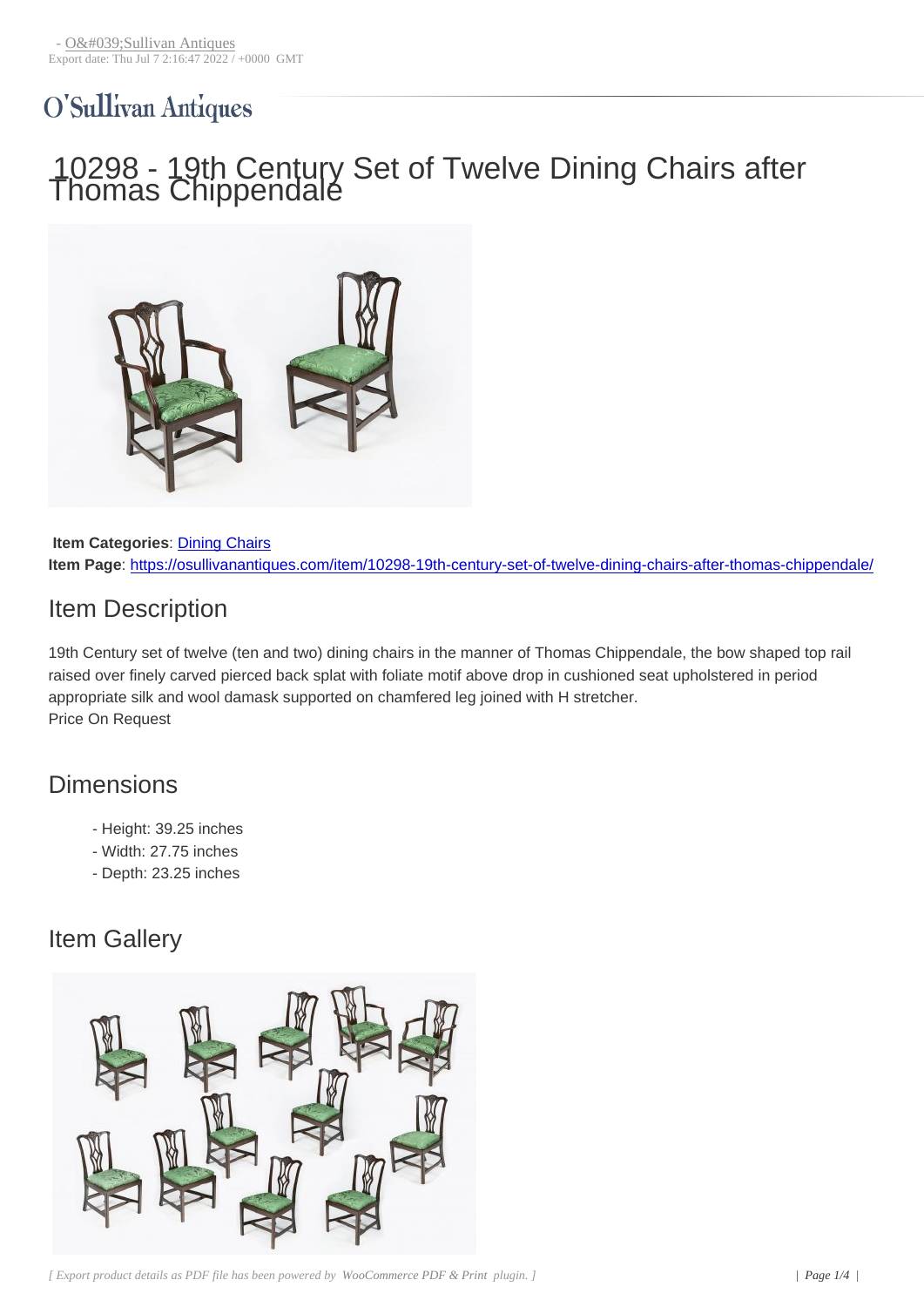## O'Sullivan Antiques

# 10298 - 19th Century Set of Twelve Dining Chairs after Thomas Chippendale



#### **Item Categories: Dining Chairs**

**Item Page**: https://osullivanantiques.com/item/10298-19th-century-set-of-twelve-dining-chairs-after-thomas-chippendale/

### Item Descri[ption](https://osullivanantiques.com/item-category/furniture/chairs-seating/dining-chairs/)

19th Centur[y set of twelve \(ten and two\) dining chairs in the manner of Thomas Chippendale, the bow shaped top rail](https://osullivanantiques.com/item/10298-19th-century-set-of-twelve-dining-chairs-after-thomas-chippendale/) raised over finely carved pierced back splat with foliate motif above drop in cushioned seat upholstered in period appropriate silk and wool damask supported on chamfered leg joined with H stretcher. Price On Request

#### **Dimensions**

- Height: 39.25 inches
- Width: 27.75 inches
- Depth: 23.25 inches

#### Item Gallery

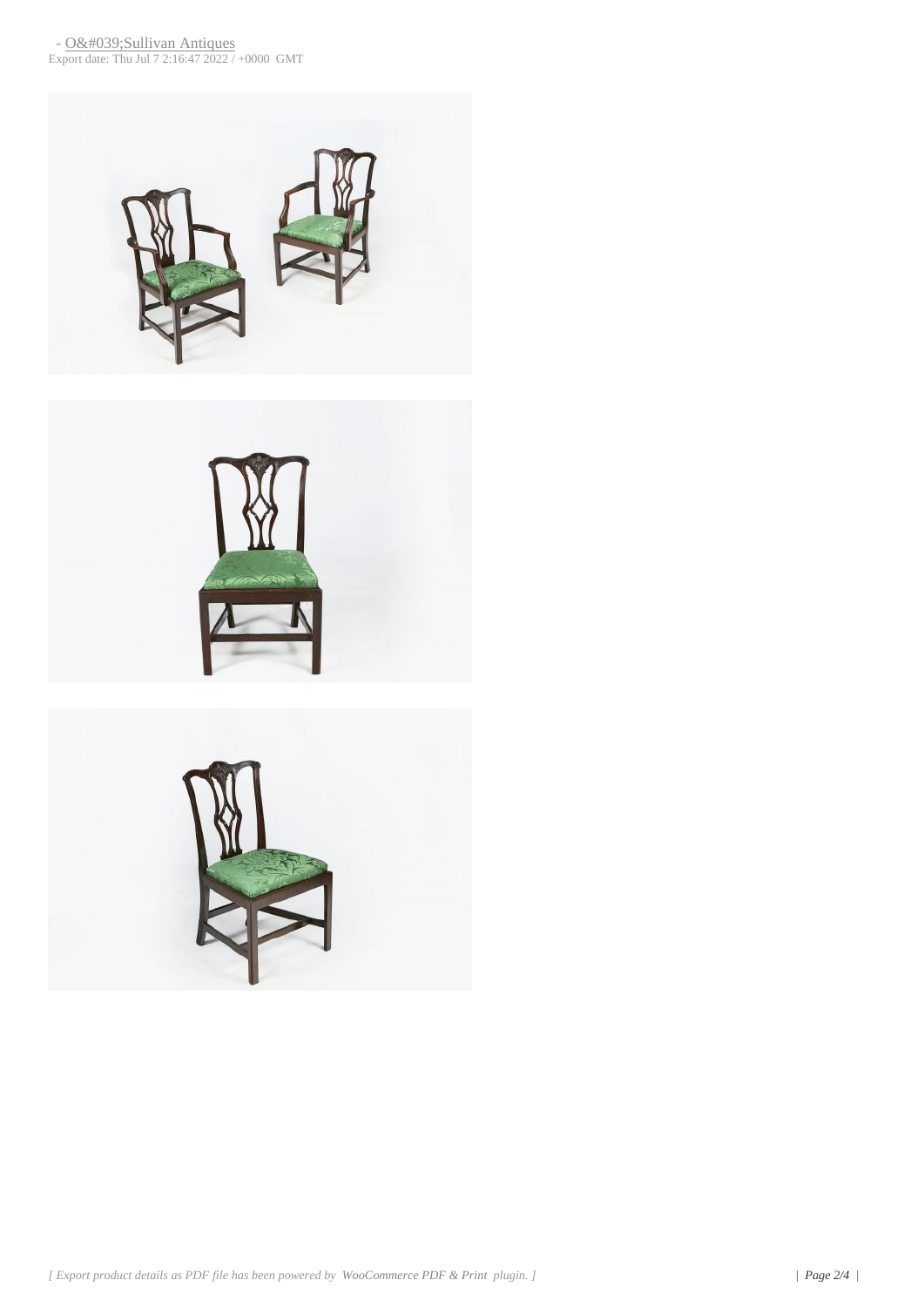



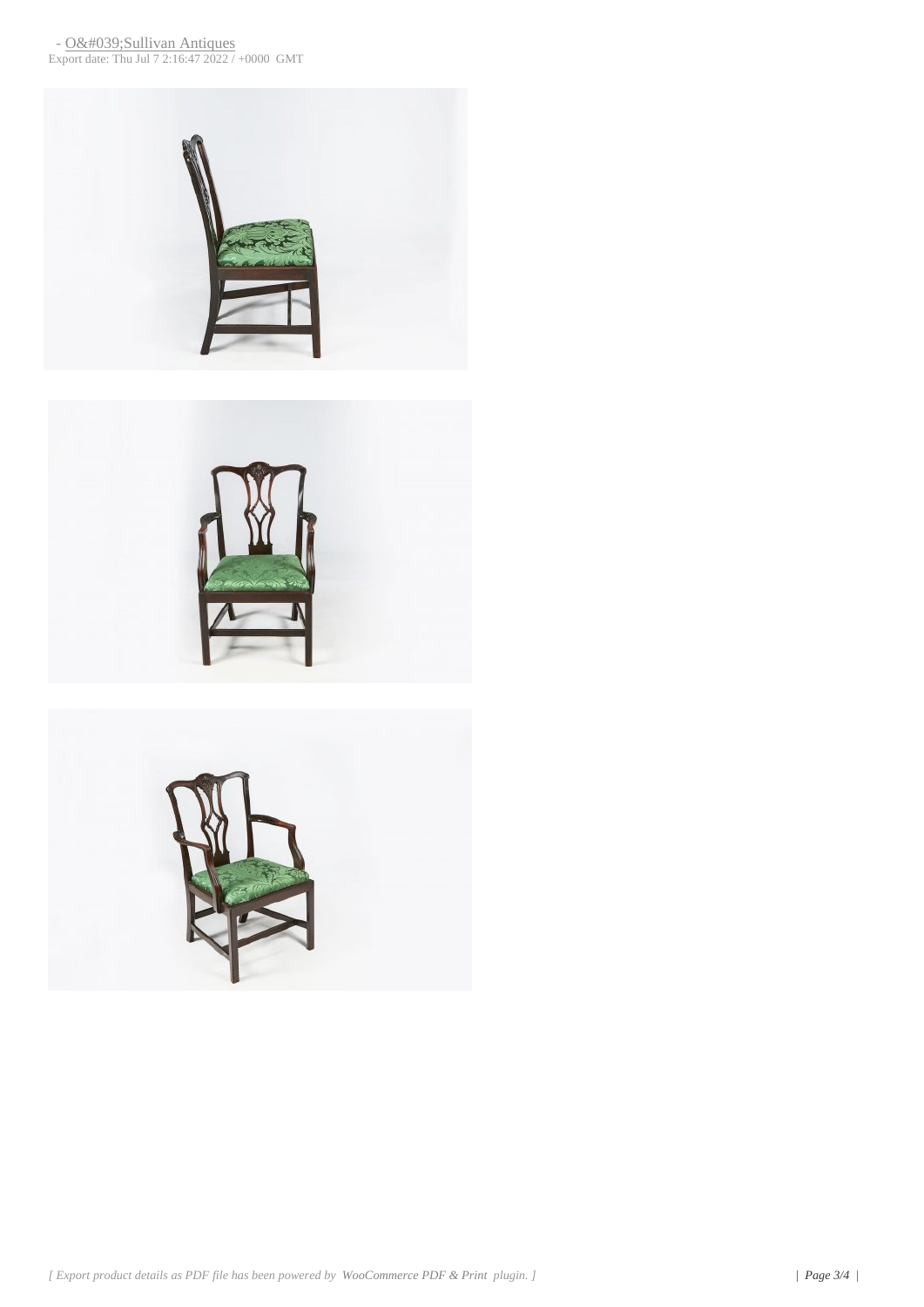